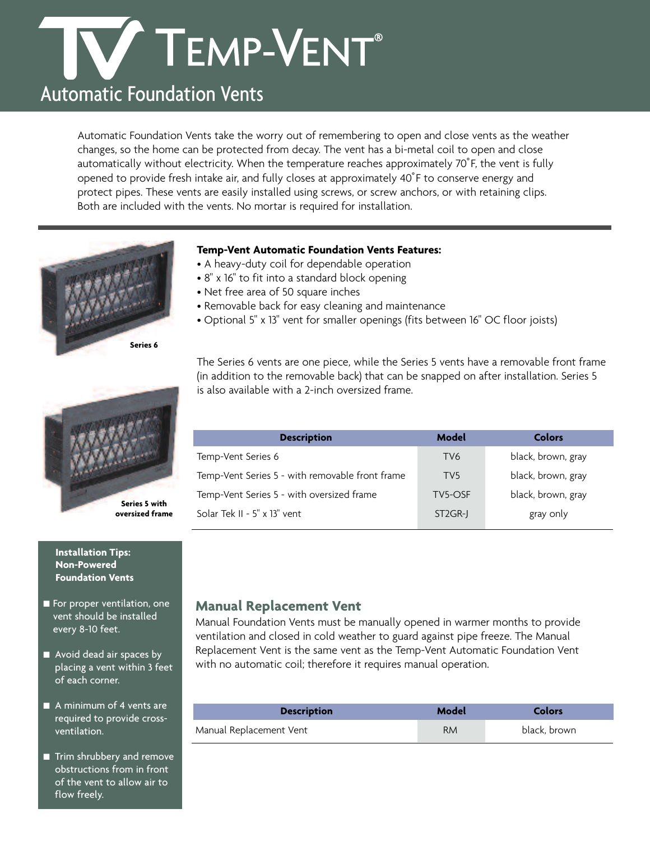# TEMP-VENT®

## Automatic Foundation Vents

Automatic Foundation Vents take the worry out of remembering to open and close vents as the weather changes, so the home can be protected from decay. The vent has a bi-metal coil to open and close automatically without electricity. When the temperature reaches approximately 70˚F, the vent is fully opened to provide fresh intake air, and fully closes at approximately 40˚F to conserve energy and protect pipes. These vents are easily installed using screws, or screw anchors, or with retaining clips. Both are included with the vents. No mortar is required for installation.



### **Temp-Vent Automatic Foundation Vents Features:**

- A heavy-duty coil for dependable operation
- 8" x 16" to fit into a standard block opening
- Net free area of 50 square inches
- Removable back for easy cleaning and maintenance
- Optional 5" x 13" vent for smaller openings (fits between 16" OC floor joists)



# **oversized frame**

#### **Installation Tips: Non-Powered Foundation Vents**

- For proper ventilation, one vent should be installed every 8-10 feet.
- Avoid dead air spaces by placing a vent within 3 feet of each corner.
- A minimum of 4 vents are required to provide crossventilation.
- Trim shrubbery and remove obstructions from in front of the vent to allow air to flow freely.

The Series 6 vents are one piece, while the Series 5 vents have a removable front frame (in addition to the removable back) that can be snapped on after installation. Series 5 is also available with a 2-inch oversized frame.

| <b>Description</b>                              | Model                | Colors             |
|-------------------------------------------------|----------------------|--------------------|
| Temp-Vent Series 6                              | TV6                  | black, brown, gray |
| Temp-Vent Series 5 - with removable front frame | TV <sub>5</sub>      | black, brown, gray |
| Temp-Vent Series 5 - with oversized frame       | TV5-OSF              | black, brown, gray |
| Solar Tek II - 5" x 13" vent                    | ST <sub>2</sub> GR-J | gray only          |

## **Manual Replacement Vent**

Manual Foundation Vents must be manually opened in warmer months to provide ventilation and closed in cold weather to guard against pipe freeze. The Manual Replacement Vent is the same vent as the Temp-Vent Automatic Foundation Vent with no automatic coil; therefore it requires manual operation.

| <b>Description</b>      | Model     | <b>Colors</b> |
|-------------------------|-----------|---------------|
| Manual Replacement Vent | <b>RM</b> | black, brown  |